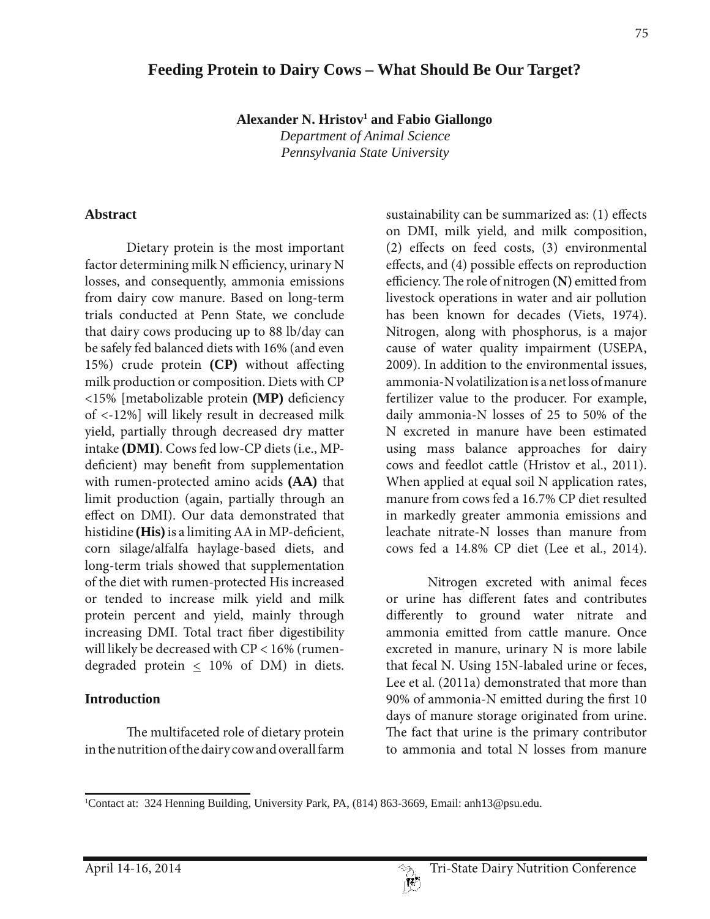# **Feeding Protein to Dairy Cows – What Should Be Our Target?**

**Alexander N. Hristov1 and Fabio Giallongo**

*Department of Animal Science Pennsylvania State University* 

#### **Abstract**

 Dietary protein is the most important factor determining milk N efficiency, urinary N losses, and consequently, ammonia emissions from dairy cow manure. Based on long-term trials conducted at Penn State, we conclude that dairy cows producing up to 88 lb/day can be safely fed balanced diets with 16% (and even 15%) crude protein **(CP)** without affecting milk production or composition. Diets with CP <15% [metabolizable protein **(MP)** deficiency of <-12%] will likely result in decreased milk yield, partially through decreased dry matter intake **(DMI)**. Cows fed low-CP diets (i.e., MPdeficient) may benefit from supplementation with rumen-protected amino acids **(AA)** that limit production (again, partially through an effect on DMI). Our data demonstrated that histidine **(His)** is a limiting AA in MP-deficient, corn silage/alfalfa haylage-based diets, and long-term trials showed that supplementation of the diet with rumen-protected His increased or tended to increase milk yield and milk protein percent and yield, mainly through increasing DMI. Total tract fiber digestibility will likely be decreased with CP < 16% (rumendegraded protein  $\leq$  10% of DM) in diets.

### **Introduction**

 The multifaceted role of dietary protein in the nutrition of the dairy cow and overall farm

sustainability can be summarized as: (1) effects on DMI, milk yield, and milk composition, (2) effects on feed costs, (3) environmental effects, and (4) possible effects on reproduction efficiency. The role of nitrogen **(N)** emitted from livestock operations in water and air pollution has been known for decades (Viets, 1974). Nitrogen, along with phosphorus, is a major cause of water quality impairment (USEPA, 2009). In addition to the environmental issues, ammonia-N volatilization is a net loss of manure fertilizer value to the producer. For example, daily ammonia-N losses of 25 to 50% of the N excreted in manure have been estimated using mass balance approaches for dairy cows and feedlot cattle (Hristov et al., 2011). When applied at equal soil N application rates, manure from cows fed a 16.7% CP diet resulted in markedly greater ammonia emissions and leachate nitrate-N losses than manure from cows fed a 14.8% CP diet (Lee et al., 2014).

 Nitrogen excreted with animal feces or urine has different fates and contributes differently to ground water nitrate and ammonia emitted from cattle manure. Once excreted in manure, urinary N is more labile that fecal N. Using 15N-labaled urine or feces, Lee et al. (2011a) demonstrated that more than 90% of ammonia-N emitted during the first 10 days of manure storage originated from urine. The fact that urine is the primary contributor to ammonia and total N losses from manure

<sup>1</sup> Contact at: 324 Henning Building, University Park, PA, (814) 863-3669, Email: anh13@psu.edu.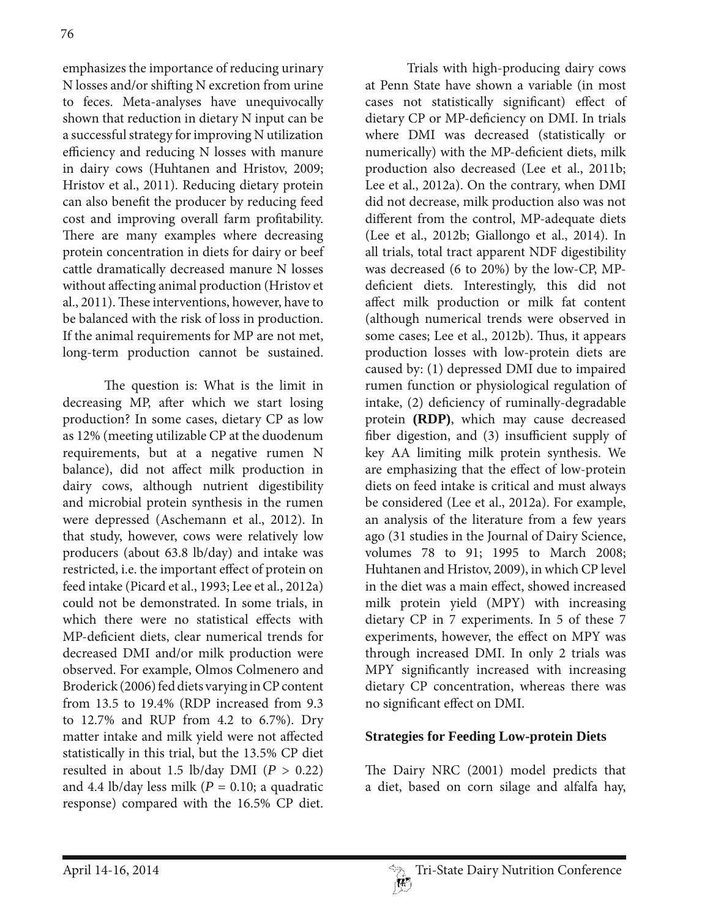emphasizes the importance of reducing urinary N losses and/or shifting N excretion from urine to feces. Meta-analyses have unequivocally shown that reduction in dietary N input can be a successful strategy for improving N utilization efficiency and reducing N losses with manure in dairy cows (Huhtanen and Hristov, 2009; Hristov et al., 2011). Reducing dietary protein can also benefit the producer by reducing feed cost and improving overall farm profitability. There are many examples where decreasing protein concentration in diets for dairy or beef cattle dramatically decreased manure N losses without affecting animal production (Hristov et al., 2011). These interventions, however, have to be balanced with the risk of loss in production. If the animal requirements for MP are not met, long-term production cannot be sustained.

 The question is: What is the limit in decreasing MP, after which we start losing production? In some cases, dietary CP as low as 12% (meeting utilizable CP at the duodenum requirements, but at a negative rumen N balance), did not affect milk production in dairy cows, although nutrient digestibility and microbial protein synthesis in the rumen were depressed (Aschemann et al., 2012). In that study, however, cows were relatively low producers (about 63.8 lb/day) and intake was restricted, i.e. the important effect of protein on feed intake (Picard et al., 1993; Lee et al., 2012a) could not be demonstrated. In some trials, in which there were no statistical effects with MP-deficient diets, clear numerical trends for decreased DMI and/or milk production were observed. For example, Olmos Colmenero and Broderick (2006) fed diets varying in CP content from 13.5 to 19.4% (RDP increased from 9.3 to 12.7% and RUP from 4.2 to 6.7%). Dry matter intake and milk yield were not affected statistically in this trial, but the 13.5% CP diet resulted in about 1.5 lb/day DMI  $(P > 0.22)$ and 4.4 lb/day less milk  $(P = 0.10)$ ; a quadratic response) compared with the 16.5% CP diet.

 Trials with high-producing dairy cows at Penn State have shown a variable (in most cases not statistically significant) effect of dietary CP or MP-deficiency on DMI. In trials where DMI was decreased (statistically or numerically) with the MP-deficient diets, milk production also decreased (Lee et al., 2011b; Lee et al., 2012a). On the contrary, when DMI did not decrease, milk production also was not different from the control, MP-adequate diets (Lee et al., 2012b; Giallongo et al., 2014). In all trials, total tract apparent NDF digestibility was decreased (6 to 20%) by the low-CP, MPdeficient diets. Interestingly, this did not affect milk production or milk fat content (although numerical trends were observed in some cases; Lee et al., 2012b). Thus, it appears production losses with low-protein diets are caused by: (1) depressed DMI due to impaired rumen function or physiological regulation of intake, (2) deficiency of ruminally-degradable protein **(RDP)**, which may cause decreased fiber digestion, and (3) insufficient supply of key AA limiting milk protein synthesis. We are emphasizing that the effect of low-protein diets on feed intake is critical and must always be considered (Lee et al., 2012a). For example, an analysis of the literature from a few years ago (31 studies in the Journal of Dairy Science, volumes 78 to 91; 1995 to March 2008; Huhtanen and Hristov, 2009), in which CP level in the diet was a main effect, showed increased milk protein yield (MPY) with increasing dietary CP in 7 experiments. In 5 of these 7 experiments, however, the effect on MPY was through increased DMI. In only 2 trials was MPY significantly increased with increasing dietary CP concentration, whereas there was no significant effect on DMI.

## **Strategies for Feeding Low-protein Diets**

The Dairy NRC (2001) model predicts that a diet, based on corn silage and alfalfa hay,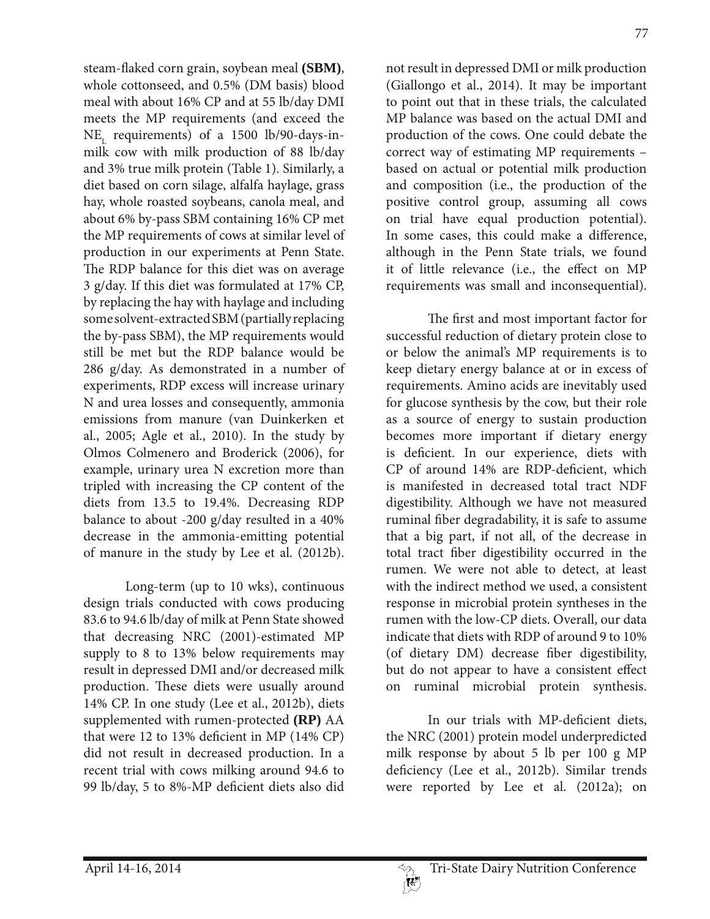steam-flaked corn grain, soybean meal **(SBM)**, whole cottonseed, and 0.5% (DM basis) blood meal with about 16% CP and at 55 lb/day DMI meets the MP requirements (and exceed the  $NE_{L}$  requirements) of a 1500 lb/90-days-inmilk cow with milk production of 88 lb/day and 3% true milk protein (Table 1). Similarly, a diet based on corn silage, alfalfa haylage, grass hay, whole roasted soybeans, canola meal, and about 6% by-pass SBM containing 16% CP met the MP requirements of cows at similar level of production in our experiments at Penn State. The RDP balance for this diet was on average 3 g/day. If this diet was formulated at 17% CP, by replacing the hay with haylage and including some solvent-extracted SBM (partially replacing the by-pass SBM), the MP requirements would still be met but the RDP balance would be 286 g/day. As demonstrated in a number of experiments, RDP excess will increase urinary N and urea losses and consequently, ammonia emissions from manure (van Duinkerken et al., 2005; Agle et al., 2010). In the study by Olmos Colmenero and Broderick (2006), for example, urinary urea N excretion more than tripled with increasing the CP content of the diets from 13.5 to 19.4%. Decreasing RDP balance to about -200 g/day resulted in a 40% decrease in the ammonia-emitting potential of manure in the study by Lee et al. (2012b).

Long-term (up to 10 wks), continuous design trials conducted with cows producing 83.6 to 94.6 lb/day of milk at Penn State showed that decreasing NRC (2001)-estimated MP supply to 8 to 13% below requirements may result in depressed DMI and/or decreased milk production. These diets were usually around 14% CP. In one study (Lee et al., 2012b), diets supplemented with rumen-protected **(RP)** AA that were 12 to 13% deficient in MP (14% CP) did not result in decreased production. In a recent trial with cows milking around 94.6 to 99 lb/day, 5 to 8%-MP deficient diets also did

not result in depressed DMI or milk production (Giallongo et al., 2014). It may be important to point out that in these trials, the calculated MP balance was based on the actual DMI and production of the cows. One could debate the correct way of estimating MP requirements – based on actual or potential milk production and composition (i.e., the production of the positive control group, assuming all cows on trial have equal production potential). In some cases, this could make a difference, although in the Penn State trials, we found it of little relevance (i.e., the effect on MP requirements was small and inconsequential).

 The first and most important factor for successful reduction of dietary protein close to or below the animal's MP requirements is to keep dietary energy balance at or in excess of requirements. Amino acids are inevitably used for glucose synthesis by the cow, but their role as a source of energy to sustain production becomes more important if dietary energy is deficient. In our experience, diets with CP of around 14% are RDP-deficient, which is manifested in decreased total tract NDF digestibility. Although we have not measured ruminal fiber degradability, it is safe to assume that a big part, if not all, of the decrease in total tract fiber digestibility occurred in the rumen. We were not able to detect, at least with the indirect method we used, a consistent response in microbial protein syntheses in the rumen with the low-CP diets. Overall, our data indicate that diets with RDP of around 9 to 10% (of dietary DM) decrease fiber digestibility, but do not appear to have a consistent effect on ruminal microbial protein synthesis.

 In our trials with MP-deficient diets, the NRC (2001) protein model underpredicted milk response by about 5 lb per 100 g MP deficiency (Lee et al., 2012b). Similar trends were reported by Lee et al. (2012a); on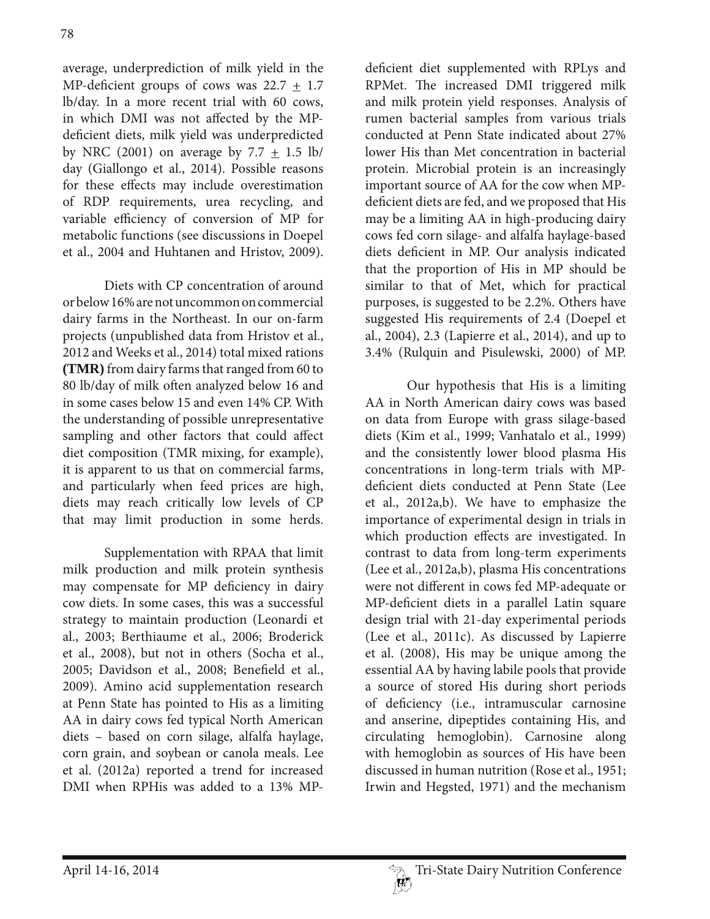average, underprediction of milk yield in the MP-deficient groups of cows was  $22.7 \pm 1.7$ lb/day. In a more recent trial with 60 cows, in which DMI was not affected by the MPdeficient diets, milk yield was underpredicted by NRC (2001) on average by 7.7  $\pm$  1.5 lb/ day (Giallongo et al., 2014). Possible reasons for these effects may include overestimation of RDP requirements, urea recycling, and variable efficiency of conversion of MP for metabolic functions (see discussions in Doepel et al., 2004 and Huhtanen and Hristov, 2009).

 Diets with CP concentration of around or below 16% are not uncommon on commercial dairy farms in the Northeast. In our on-farm projects (unpublished data from Hristov et al., 2012 and Weeks et al., 2014) total mixed rations **(TMR)** from dairy farms that ranged from 60 to 80 lb/day of milk often analyzed below 16 and in some cases below 15 and even 14% CP. With the understanding of possible unrepresentative sampling and other factors that could affect diet composition (TMR mixing, for example), it is apparent to us that on commercial farms, and particularly when feed prices are high, diets may reach critically low levels of CP that may limit production in some herds.

 Supplementation with RPAA that limit milk production and milk protein synthesis may compensate for MP deficiency in dairy cow diets. In some cases, this was a successful strategy to maintain production (Leonardi et al., 2003; Berthiaume et al., 2006; Broderick et al., 2008), but not in others (Socha et al., 2005; Davidson et al., 2008; Benefield et al., 2009). Amino acid supplementation research at Penn State has pointed to His as a limiting AA in dairy cows fed typical North American diets – based on corn silage, alfalfa haylage, corn grain, and soybean or canola meals. Lee et al. (2012a) reported a trend for increased DMI when RPHis was added to a 13% MP-

deficient diet supplemented with RPLys and RPMet. The increased DMI triggered milk and milk protein yield responses. Analysis of rumen bacterial samples from various trials conducted at Penn State indicated about 27% lower His than Met concentration in bacterial protein. Microbial protein is an increasingly important source of AA for the cow when MPdeficient diets are fed, and we proposed that His may be a limiting AA in high-producing dairy cows fed corn silage- and alfalfa haylage-based diets deficient in MP. Our analysis indicated that the proportion of His in MP should be similar to that of Met, which for practical purposes, is suggested to be 2.2%. Others have suggested His requirements of 2.4 (Doepel et al., 2004), 2.3 (Lapierre et al., 2014), and up to 3.4% (Rulquin and Pisulewski, 2000) of MP.

 Our hypothesis that His is a limiting AA in North American dairy cows was based on data from Europe with grass silage-based diets (Kim et al., 1999; Vanhatalo et al., 1999) and the consistently lower blood plasma His concentrations in long-term trials with MPdeficient diets conducted at Penn State (Lee et al., 2012a,b). We have to emphasize the importance of experimental design in trials in which production effects are investigated. In contrast to data from long-term experiments (Lee et al., 2012a,b), plasma His concentrations were not different in cows fed MP-adequate or MP-deficient diets in a parallel Latin square design trial with 21-day experimental periods (Lee et al., 2011c). As discussed by Lapierre et al. (2008), His may be unique among the essential AA by having labile pools that provide a source of stored His during short periods of deficiency (i.e., intramuscular carnosine and anserine, dipeptides containing His, and circulating hemoglobin). Carnosine along with hemoglobin as sources of His have been discussed in human nutrition (Rose et al., 1951; Irwin and Hegsted, 1971) and the mechanism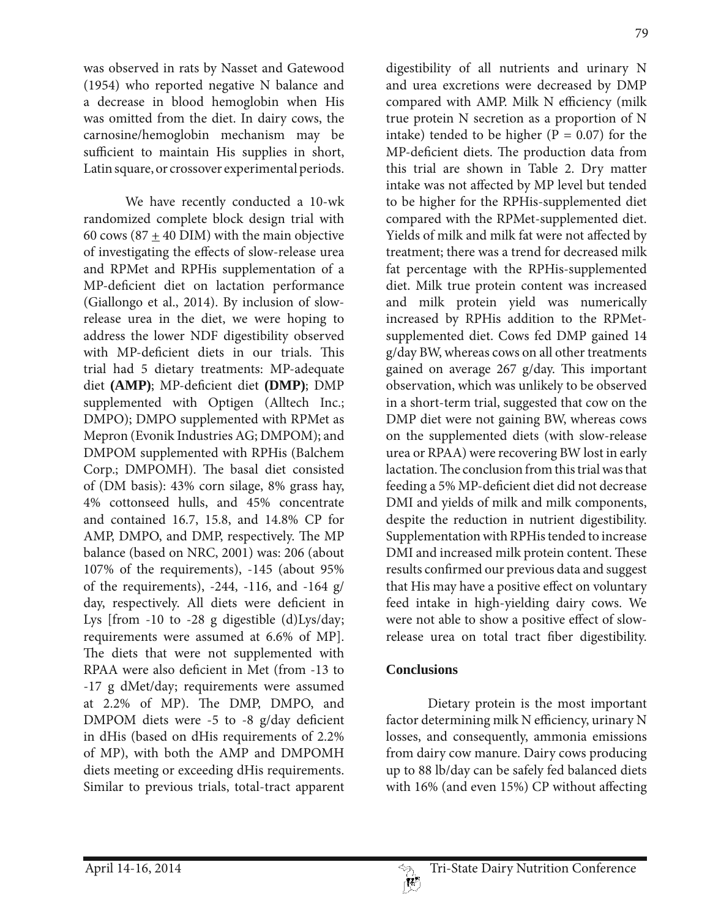79

was observed in rats by Nasset and Gatewood (1954) who reported negative N balance and a decrease in blood hemoglobin when His was omitted from the diet. In dairy cows, the carnosine/hemoglobin mechanism may be sufficient to maintain His supplies in short, Latin square, or crossover experimental periods.

 We have recently conducted a 10-wk randomized complete block design trial with 60 cows (87  $\pm$  40 DIM) with the main objective of investigating the effects of slow-release urea and RPMet and RPHis supplementation of a MP-deficient diet on lactation performance (Giallongo et al., 2014). By inclusion of slowrelease urea in the diet, we were hoping to address the lower NDF digestibility observed with MP-deficient diets in our trials. This trial had 5 dietary treatments: MP-adequate diet **(AMP)**; MP-deficient diet **(DMP)**; DMP supplemented with Optigen (Alltech Inc.; DMPO); DMPO supplemented with RPMet as Mepron (Evonik Industries AG; DMPOM); and DMPOM supplemented with RPHis (Balchem Corp.; DMPOMH). The basal diet consisted of (DM basis): 43% corn silage, 8% grass hay, 4% cottonseed hulls, and 45% concentrate and contained 16.7, 15.8, and 14.8% CP for AMP, DMPO, and DMP, respectively. The MP balance (based on NRC, 2001) was: 206 (about 107% of the requirements), -145 (about 95% of the requirements), -244, -116, and -164 g/ day, respectively. All diets were deficient in Lys [from  $-10$  to  $-28$  g digestible (d)Lys/day; requirements were assumed at 6.6% of MP]. The diets that were not supplemented with RPAA were also deficient in Met (from -13 to -17 g dMet/day; requirements were assumed at 2.2% of MP). The DMP, DMPO, and DMPOM diets were -5 to -8 g/day deficient in dHis (based on dHis requirements of 2.2% of MP), with both the AMP and DMPOMH diets meeting or exceeding dHis requirements. Similar to previous trials, total-tract apparent

digestibility of all nutrients and urinary N and urea excretions were decreased by DMP compared with AMP. Milk N efficiency (milk true protein N secretion as a proportion of N intake) tended to be higher ( $P = 0.07$ ) for the MP-deficient diets. The production data from this trial are shown in Table 2. Dry matter intake was not affected by MP level but tended to be higher for the RPHis-supplemented diet compared with the RPMet-supplemented diet. Yields of milk and milk fat were not affected by treatment; there was a trend for decreased milk fat percentage with the RPHis-supplemented diet. Milk true protein content was increased and milk protein yield was numerically increased by RPHis addition to the RPMetsupplemented diet. Cows fed DMP gained 14 g/day BW, whereas cows on all other treatments gained on average 267 g/day. This important observation, which was unlikely to be observed in a short-term trial, suggested that cow on the DMP diet were not gaining BW, whereas cows on the supplemented diets (with slow-release urea or RPAA) were recovering BW lost in early lactation. The conclusion from this trial was that feeding a 5% MP-deficient diet did not decrease DMI and yields of milk and milk components, despite the reduction in nutrient digestibility. Supplementation with RPHis tended to increase DMI and increased milk protein content. These results confirmed our previous data and suggest that His may have a positive effect on voluntary feed intake in high-yielding dairy cows. We were not able to show a positive effect of slowrelease urea on total tract fiber digestibility.

### **Conclusions**

 Dietary protein is the most important factor determining milk N efficiency, urinary N losses, and consequently, ammonia emissions from dairy cow manure. Dairy cows producing up to 88 lb/day can be safely fed balanced diets with 16% (and even 15%) CP without affecting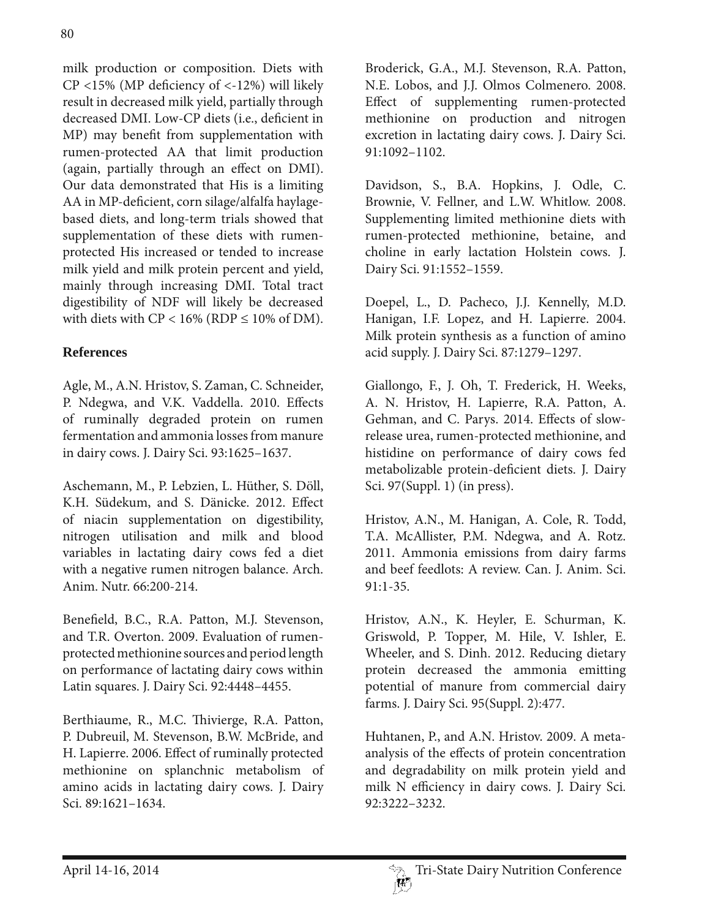milk production or composition. Diets with CP <15% (MP deficiency of <-12%) will likely result in decreased milk yield, partially through decreased DMI. Low-CP diets (i.e., deficient in MP) may benefit from supplementation with rumen-protected AA that limit production (again, partially through an effect on DMI). Our data demonstrated that His is a limiting AA in MP-deficient, corn silage/alfalfa haylagebased diets, and long-term trials showed that supplementation of these diets with rumenprotected His increased or tended to increase milk yield and milk protein percent and yield, mainly through increasing DMI. Total tract digestibility of NDF will likely be decreased with diets with  $CP < 16\%$  (RDP  $\leq 10\%$  of DM).

# **References**

Agle, M., A.N. Hristov, S. Zaman, C. Schneider, P. Ndegwa, and V.K. Vaddella. 2010. Effects of ruminally degraded protein on rumen fermentation and ammonia losses from manure in dairy cows. J. Dairy Sci. 93:1625–1637.

Aschemann, M., P. Lebzien, L. Hüther, S. Döll, K.H. Südekum, and S. Dänicke. 2012. Effect of niacin supplementation on digestibility, nitrogen utilisation and milk and blood variables in lactating dairy cows fed a diet with a negative rumen nitrogen balance. Arch. Anim. Nutr. 66:200-214.

Benefield, B.C., R.A. Patton, M.J. Stevenson, and T.R. Overton. 2009. Evaluation of rumenprotected methionine sources and period length on performance of lactating dairy cows within Latin squares. J. Dairy Sci. 92:4448-4455.

Berthiaume, R., M.C. Thivierge, R.A. Patton, P. Dubreuil, M. Stevenson, B.W. McBride, and H. Lapierre. 2006. Effect of ruminally protected methionine on splanchnic metabolism of amino acids in lactating dairy cows. J. Dairy Sci. 89:1621–1634.

Broderick, G.A., M.J. Stevenson, R.A. Patton, N.E. Lobos, and J.J. Olmos Colmenero. 2008. Effect of supplementing rumen-protected methionine on production and nitrogen excretion in lactating dairy cows. J. Dairy Sci. 91:1092–1102.

Davidson, S., B.A. Hopkins, J. Odle, C. Brownie, V. Fellner, and L.W. Whitlow. 2008. Supplementing limited methionine diets with rumen-protected methionine, betaine, and choline in early lactation Holstein cows. J. Dairy Sci. 91:1552–1559.

Doepel, L., D. Pacheco, J.J. Kennelly, M.D. Hanigan, I.F. Lopez, and H. Lapierre. 2004. Milk protein synthesis as a function of amino acid supply. J. Dairy Sci. 87:1279–1297.

Giallongo, F., J. Oh, T. Frederick, H. Weeks, A. N. Hristov, H. Lapierre, R.A. Patton, A. Gehman, and C. Parys. 2014. Effects of slowrelease urea, rumen-protected methionine, and histidine on performance of dairy cows fed metabolizable protein-deficient diets. J. Dairy Sci. 97(Suppl. 1) (in press).

Hristov, A.N., M. Hanigan, A. Cole, R. Todd, T.A. McAllister, P.M. Ndegwa, and A. Rotz. 2011. Ammonia emissions from dairy farms and beef feedlots: A review. Can. J. Anim. Sci. 91:1-35.

Hristov, A.N., K. Heyler, E. Schurman, K. Griswold, P. Topper, M. Hile, V. Ishler, E. Wheeler, and S. Dinh. 2012. Reducing dietary protein decreased the ammonia emitting potential of manure from commercial dairy farms. J. Dairy Sci. 95(Suppl. 2):477.

Huhtanen, P., and A.N. Hristov. 2009. A metaanalysis of the effects of protein concentration and degradability on milk protein yield and milk N efficiency in dairy cows. J. Dairy Sci. 92:3222–3232.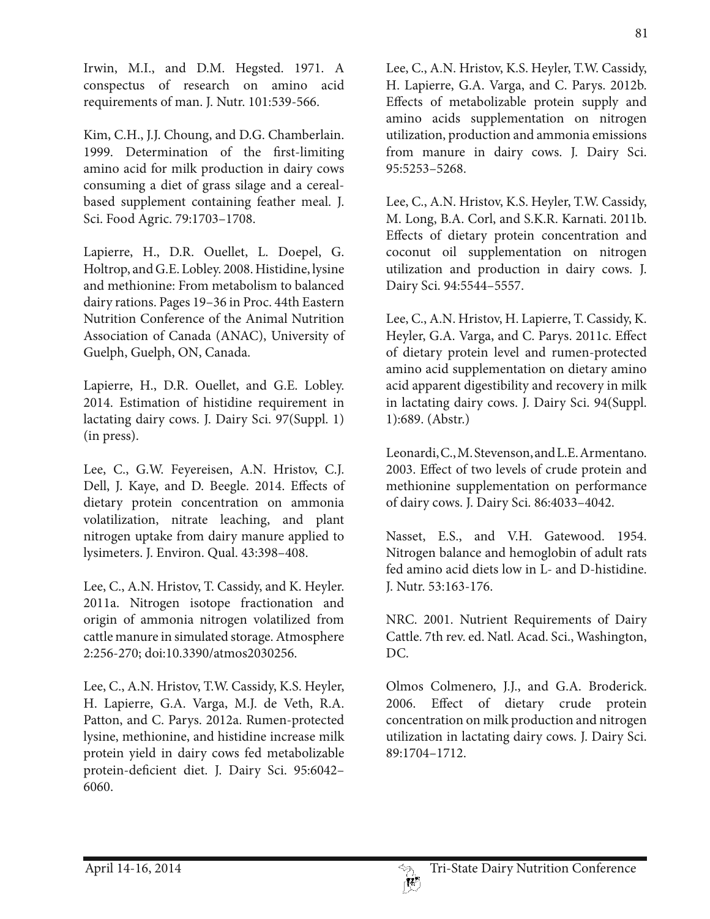Irwin, M.I., and D.M. Hegsted. 1971. A conspectus of research on amino acid requirements of man. J. Nutr. 101:539-566.

Kim, C.H., J.J. Choung, and D.G. Chamberlain. 1999. Determination of the first-limiting amino acid for milk production in dairy cows consuming a diet of grass silage and a cerealbased supplement containing feather meal. J. Sci. Food Agric. 79:1703–1708.

Lapierre, H., D.R. Ouellet, L. Doepel, G. Holtrop, and G.E. Lobley. 2008. Histidine, lysine and methionine: From metabolism to balanced dairy rations. Pages 19–36 in Proc. 44th Eastern Nutrition Conference of the Animal Nutrition Association of Canada (ANAC), University of Guelph, Guelph, ON, Canada.

Lapierre, H., D.R. Ouellet, and G.E. Lobley. 2014. Estimation of histidine requirement in lactating dairy cows. J. Dairy Sci. 97(Suppl. 1) (in press).

Lee, C., G.W. Feyereisen, A.N. Hristov, C.J. Dell, J. Kaye, and D. Beegle. 2014. Effects of dietary protein concentration on ammonia volatilization, nitrate leaching, and plant nitrogen uptake from dairy manure applied to lysimeters. J. Environ. Qual. 43:398–408.

Lee, C., A.N. Hristov, T. Cassidy, and K. Heyler. 2011a. Nitrogen isotope fractionation and origin of ammonia nitrogen volatilized from cattle manure in simulated storage. Atmosphere 2:256-270; doi:10.3390/atmos2030256.

Lee, C., A.N. Hristov, T.W. Cassidy, K.S. Heyler, H. Lapierre, G.A. Varga, M.J. de Veth, R.A. Patton, and C. Parys. 2012a. Rumen-protected lysine, methionine, and histidine increase milk protein yield in dairy cows fed metabolizable protein-deficient diet. J. Dairy Sci. 95:6042– 6060.

Lee, C., A.N. Hristov, K.S. Heyler, T.W. Cassidy, H. Lapierre, G.A. Varga, and C. Parys. 2012b. Effects of metabolizable protein supply and amino acids supplementation on nitrogen utilization, production and ammonia emissions from manure in dairy cows. J. Dairy Sci. 95:5253–5268.

Lee, C., A.N. Hristov, K.S. Heyler, T.W. Cassidy, M. Long, B.A. Corl, and S.K.R. Karnati. 2011b. Effects of dietary protein concentration and coconut oil supplementation on nitrogen utilization and production in dairy cows. J. Dairy Sci. 94:5544–5557.

Lee, C., A.N. Hristov, H. Lapierre, T. Cassidy, K. Heyler, G.A. Varga, and C. Parys. 2011c. Effect of dietary protein level and rumen-protected amino acid supplementation on dietary amino acid apparent digestibility and recovery in milk in lactating dairy cows. J. Dairy Sci. 94(Suppl. 1):689. (Abstr.)

Leonardi, C., M. Stevenson, and L.E. Armentano. 2003. Effect of two levels of crude protein and methionine supplementation on performance of dairy cows. J. Dairy Sci. 86:4033–4042.

Nasset, E.S., and V.H. Gatewood. 1954. Nitrogen balance and hemoglobin of adult rats fed amino acid diets low in L- and D-histidine. J. Nutr. 53:163-176.

NRC. 2001. Nutrient Requirements of Dairy Cattle. 7th rev. ed. Natl. Acad. Sci., Washington, DC.

Olmos Colmenero, J.J., and G.A. Broderick. 2006. Effect of dietary crude protein concentration on milk production and nitrogen utilization in lactating dairy cows. J. Dairy Sci. 89:1704–1712.

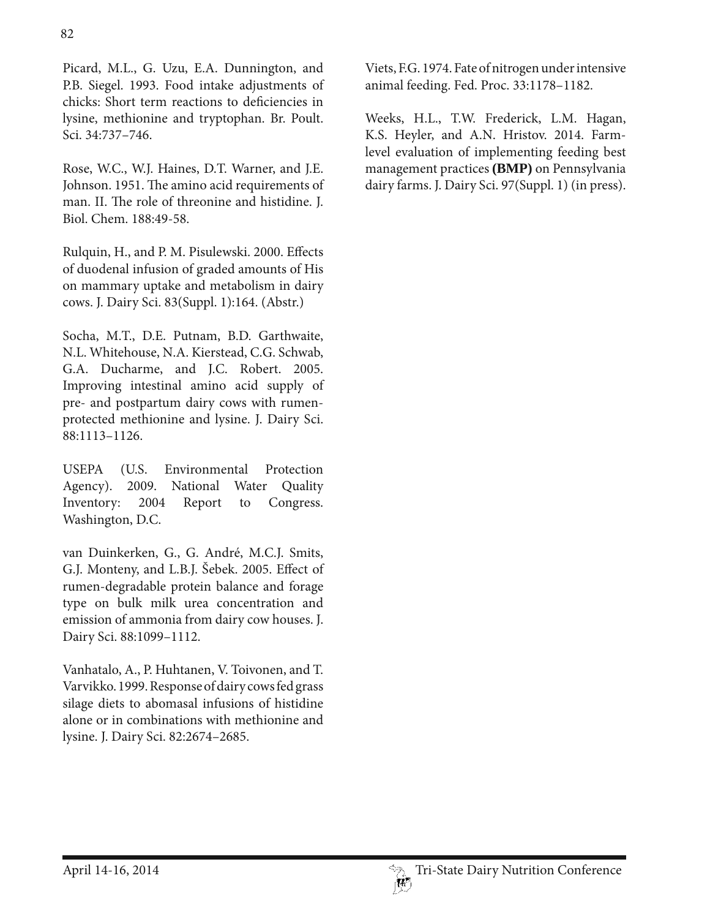Picard, M.L., G. Uzu, E.A. Dunnington, and P.B. Siegel. 1993. Food intake adjustments of chicks: Short term reactions to deficiencies in lysine, methionine and tryptophan. Br. Poult. Sci. 34:737–746.

Rose, W.C., W.J. Haines, D.T. Warner, and J.E. Johnson. 1951. The amino acid requirements of man. II. The role of threonine and histidine. J. Biol. Chem. 188:49-58.

Rulquin, H., and P. M. Pisulewski. 2000. Effects of duodenal infusion of graded amounts of His on mammary uptake and metabolism in dairy cows. J. Dairy Sci. 83(Suppl. 1):164. (Abstr.)

Socha, M.T., D.E. Putnam, B.D. Garthwaite, N.L. Whitehouse, N.A. Kierstead, C.G. Schwab, G.A. Ducharme, and J.C. Robert. 2005. Improving intestinal amino acid supply of pre- and postpartum dairy cows with rumenprotected methionine and lysine. J. Dairy Sci. 88:1113–1126.

USEPA (U.S. Environmental Protection Agency). 2009. National Water Quality Inventory: 2004 Report to Congress. Washington, D.C.

van Duinkerken, G., G. André, M.C.J. Smits, G.J. Monteny, and L.B.J. Šebek. 2005. Effect of rumen-degradable protein balance and forage type on bulk milk urea concentration and emission of ammonia from dairy cow houses. J. Dairy Sci. 88:1099–1112.

Vanhatalo, A., P. Huhtanen, V. Toivonen, and T. Varvikko. 1999. Response of dairy cows fed grass silage diets to abomasal infusions of histidine alone or in combinations with methionine and lysine. J. Dairy Sci. 82:2674–2685.

Viets, F.G. 1974. Fate of nitrogen under intensive animal feeding. Fed. Proc. 33:1178–1182.

Weeks, H.L., T.W. Frederick, L.M. Hagan, K.S. Heyler, and A.N. Hristov. 2014. Farmlevel evaluation of implementing feeding best management practices **(BMP)** on Pennsylvania dairy farms. J. Dairy Sci. 97(Suppl. 1) (in press).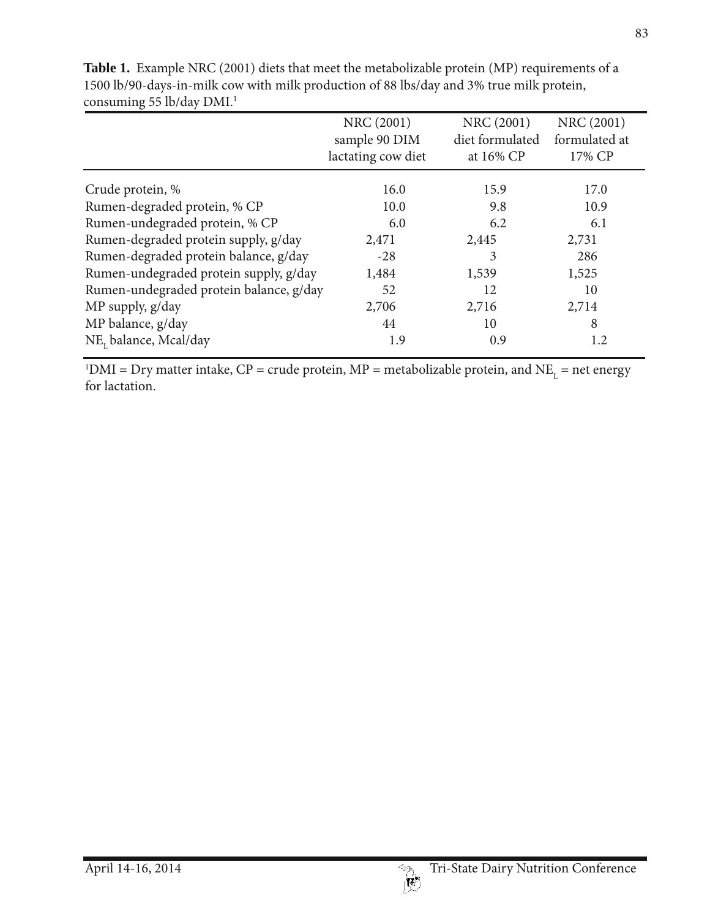|                                         | NRC (2001)<br>sample 90 DIM<br>lactating cow diet | NRC (2001)<br>diet formulated<br>at 16% CP | NRC (2001)<br>formulated at<br>17% CP |
|-----------------------------------------|---------------------------------------------------|--------------------------------------------|---------------------------------------|
| Crude protein, %                        | 16.0                                              | 15.9                                       | 17.0                                  |
| Rumen-degraded protein, % CP            | 10.0                                              | 9.8                                        | 10.9                                  |
| Rumen-undegraded protein, % CP          | 6.0                                               | 6.2                                        | 6.1                                   |
| Rumen-degraded protein supply, g/day    | 2,471                                             | 2,445                                      | 2,731                                 |
| Rumen-degraded protein balance, g/day   | $-28$                                             | 3                                          | 286                                   |
| Rumen-undegraded protein supply, g/day  | 1,484                                             | 1,539                                      | 1,525                                 |
| Rumen-undegraded protein balance, g/day | 52                                                | 12                                         | 10                                    |
| MP supply, g/day                        | 2,706                                             | 2,716                                      | 2,714                                 |
| MP balance, g/day                       | 44                                                | 10                                         | 8                                     |
| NE, balance, Mcal/day                   | 1.9                                               | 0.9                                        | 1.2                                   |

**Table 1.** Example NRC (2001) diets that meet the metabolizable protein (MP) requirements of a 1500 lb/90-days-in-milk cow with milk production of 88 lbs/day and 3% true milk protein, consuming 55 lb/day DMI.<sup>1</sup>

<sup>1</sup>DMI = Dry matter intake, CP = crude protein, MP = metabolizable protein, and NE<sub>L</sub> = net energy for lactation.